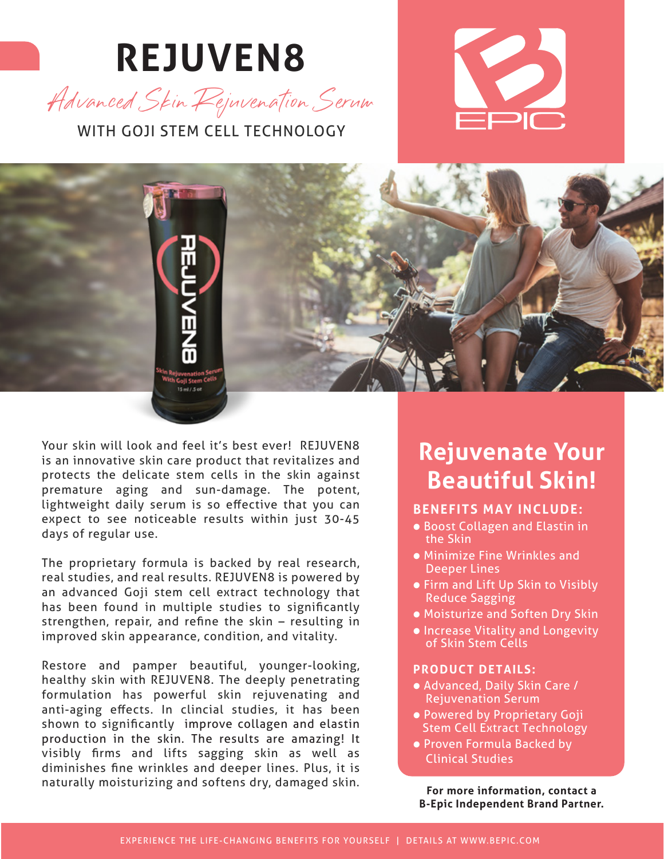# **REJUVEN8**

Advanced Skin Rejuvenation Serum

WITH GOJI STEM CELL TECHNOLOGY





Your skin will look and feel it's best ever! REJUVEN8 is an innovative skin care product that revitalizes and protects the delicate stem cells in the skin against premature aging and sun-damage. The potent, lightweight daily serum is so effective that you can expect to see noticeable results within just 30-45 days of regular use.

The proprietary formula is backed by real research, real studies, and real results. REJUVEN8 is powered by an advanced Goji stem cell extract technology that has been found in multiple studies to significantly strengthen, repair, and refine the skin – resulting in improved skin appearance, condition, and vitality.

Restore and pamper beautiful, younger-looking, healthy skin with REJUVEN8. The deeply penetrating formulation has powerful skin rejuvenating and anti-aging effects. In clincial studies, it has been shown to significantly improve collagen and elastin production in the skin. The results are amazing! It visibly firms and lifts sagging skin as well as diminishes fine wrinkles and deeper lines. Plus, it is naturally moisturizing and softens dry, damaged skin.

#### **Rejuvenate Your Beautiful Skin!**

#### **BENEFITS MAY INCLUDE:**

- Boost Collagen and Elastin in the Skin
- Minimize Fine Wrinkles and Deeper Lines
- Firm and Lift Up Skin to Visibly Reduce Sagging
- Moisturize and Soften Dry Skin
- Increase Vitality and Longevity of Skin Stem Cells

#### **PRODUCT DETAILS:**

- Advanced, Daily Skin Care / Rejuvenation Serum
- Powered by Proprietary Goji Stem Cell Extract Technology
- Proven Formula Backed by Clinical Studies

**For more information, contact a B-Epic Independent Brand Partner.**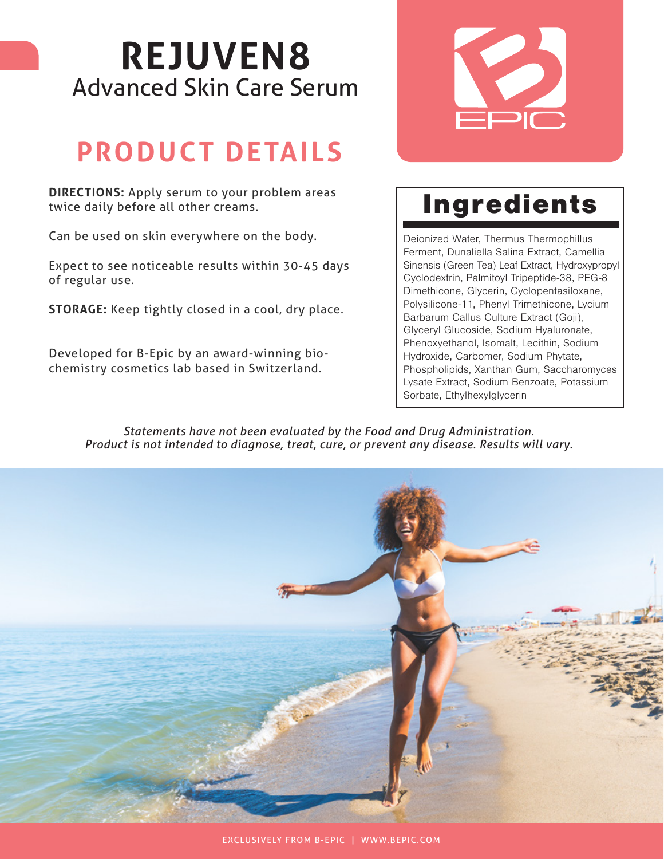# **REJUVEN8** Advanced Skin Care Serum

# **PRODUCT DETAILS**

**DIRECTIONS:** Apply serum to your problem areas twice daily before all other creams.

Can be used on skin everywhere on the body.

Expect to see noticeable results within 30-45 days of regular use.

**STORAGE:** Keep tightly closed in a cool, dry place.

Developed for B-Epic by an award-winning biochemistry cosmetics lab based in Switzerland.



### Ingredients

Deionized Water, Thermus Thermophillus Ferment, Dunaliella Salina Extract, Camellia Sinensis (Green Tea) Leaf Extract, Hydroxypropyl Cyclodextrin, Palmitoyl Tripeptide-38, PEG-8 Dimethicone, Glycerin, Cyclopentasiloxane, Polysilicone-11, Phenyl Trimethicone, Lycium Barbarum Callus Culture Extract (Goji), Glyceryl Glucoside, Sodium Hyaluronate, Phenoxyethanol, Isomalt, Lecithin, Sodium Hydroxide, Carbomer, Sodium Phytate, Phospholipids, Xanthan Gum, Saccharomyces Lysate Extract, Sodium Benzoate, Potassium Sorbate, Ethylhexylglycerin

*Statements have not been evaluated by the Food and Drug Administration. Product is not intended to diagnose, treat, cure, or prevent any disease. Results will vary.*

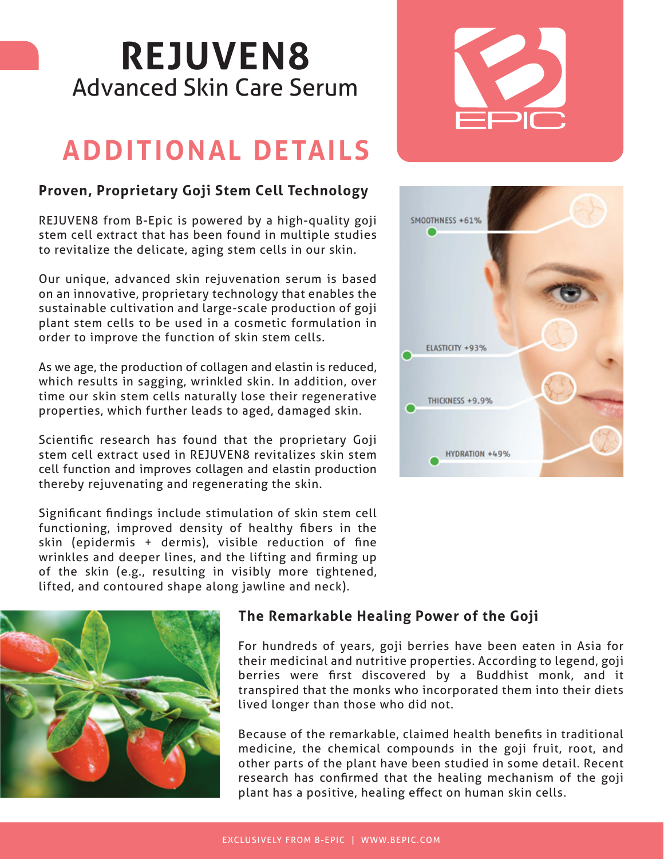# **REJUVEN8** Advanced Skin Care Serum

### **ADDITIONAL DETAILS**

#### **Proven, Proprietary Goji Stem Cell Technology**

REJUVEN8 from B-Epic is powered by a high-quality goji stem cell extract that has been found in multiple studies to revitalize the delicate, aging stem cells in our skin.

Our unique, advanced skin rejuvenation serum is based on an innovative, proprietary technology that enables the sustainable cultivation and large-scale production of goji plant stem cells to be used in a cosmetic formulation in order to improve the function of skin stem cells.

As we age, the production of collagen and elastin is reduced, which results in sagging, wrinkled skin. In addition, over time our skin stem cells naturally lose their regenerative properties, which further leads to aged, damaged skin.

Scientific research has found that the proprietary Goji stem cell extract used in REJUVEN8 revitalizes skin stem cell function and improves collagen and elastin production thereby rejuvenating and regenerating the skin.

Significant findings include stimulation of skin stem cell functioning, improved density of healthy fibers in the skin (epidermis + dermis), visible reduction of fine wrinkles and deeper lines, and the lifting and firming up of the skin (e.g., resulting in visibly more tightened, lifted, and contoured shape along jawline and neck).



#### **The Remarkable Healing Power of the Goji**

For hundreds of years, goji berries have been eaten in Asia for their medicinal and nutritive properties. According to legend, goji berries were first discovered by a Buddhist monk, and it transpired that the monks who incorporated them into their diets lived longer than those who did not.

Because of the remarkable, claimed health benefits in traditional medicine, the chemical compounds in the goji fruit, root, and other parts of the plant have been studied in some detail. Recent research has confirmed that the healing mechanism of the goji plant has a positive, healing effect on human skin cells.